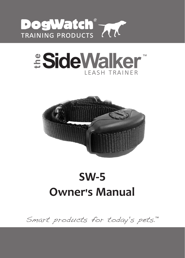

# $\overset{\circ}{\mathbf{\mathsf{}}}\mathbf{SideW}\mathbf{alker}^*$ leash trainer



# **Owner's Manual SW-5**

Smart products for today's pets.™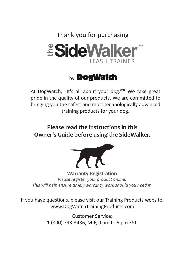Thank you for purchasing



# **by DogWatch**

At DogWatch, "It's all about your dog.**®**" We take great pride in the quality of our products. We are committed to bringing you the safest and most technologically advanced training products for your dog.

**Please read the instructions in this Owner's Guide before using the SideWalker.** 



**Warranty Registration** *Please register your product online. This will help ensure timely warranty work should you need it.*

If you have questions, please visit our Training Products website: www.DogWatchTrainingProducts.com

> Customer Service: 1 (800) 793-3436, M-F, 9 am to 5 pm EST.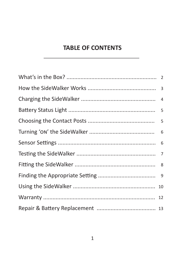## **TABLE OF CONTENTS**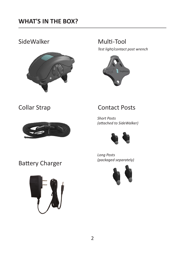## SideWalker Multi-Tool



*Test light/contact post wrench*



## Collar Strap



## Contact Posts

*Short Posts )attached to SideWalker(*



*Long Posts )packaged separately(*



Battery Charger

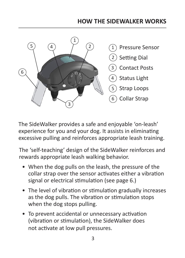## **HOW THE SIDEWALKER WORKS**



The SideWalker provides a safe and enjoyable 'on-leash' experience for you and your dog. It assists in eliminating excessive pulling and reinforces appropriate leash training.

The 'self-teaching' design of the SideWalker reinforces and rewards appropriate leash walking behavior.

- When the dog pulls on the leash, the pressure of the collar strap over the sensor activates either a vibration signal or electrical stimulation (see page 6.)
- The level of vibration or stimulation gradually increases as the dog pulls. The vibration or stimulation stops when the dog stops pulling.
- To prevent accidental or unnecessary activation (vibration or stimulation), the SideWalker does not activate at low pull pressures.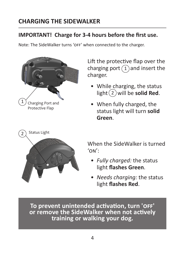## **CHARGING THE SIDEWALKER**

## **IMPORTANT! Charge for 3-4 hours before the first use.**

Note: The SideWalker turns 'off' when connected to the charger.



Lift the protective flap over the charging port  $(1)$  and insert the charger.

- While charging, the status  $light(2)$  will be **solid Red**.
- When fully charged, the status light will turn **solid Green**.



When the SideWalker is turned  $'$ ON' $\cdot$ 

- *• Fully charged:* the status light **flashes Green**.
- *• Needs charging:* the status light **flashes Red**.

**To prevent unintended activation, turn 'off' or remove the SideWalker when not actively training or walking your dog.**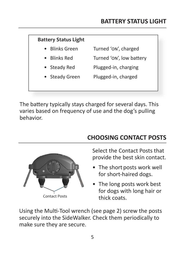### **Battery Status Light**

- Blinks Green Turned 'on', charged
- Blinks Red Turned 'on', low battery
	- Steady Red Plugged-in, charging
- Steady Green Plugged-in, charged

The battery typically stays charged for several days. This varies based on frequency of use and the dog's pulling behavior.



# **CHOOSING CONTACT POSTS**

Select the Contact Posts that provide the best skin contact.

- The short posts work well for short-haired dogs.
- The long posts work best for dogs with long hair or thick coats.

Using the Multi-Tool wrench (see page 2) screw the posts securely into the SideWalker. Check them periodically to make sure they are secure.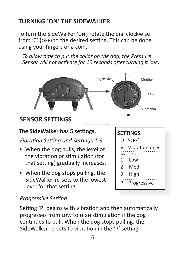# **TURNING 'ON' THE SIDEWALKER**

To turn the SideWalker 'on', rotate the dial clockwise from '0' (OFF) to the desired setting. This can be done using your fingers or a coin.

 *To allow time to put the collar on the dog, the Pressure Sensor will not activate for 10 seconds after turning it 'on'.* 



# **SENSOR SETTINGS**

## **The SideWalker has 5 settings.** SETTINGS

## *Vibration Setting and Settings 1-3*

- When the dog pulls, the level of the vibration or stimulation (for that setting) gradually increases.
- When the dog stops pulling, the SideWalker re-sets to the lowest level for that setting.

# O 'off' V Vibration only 1 Low 2 Med 3 High *stimulation*

P Progressive

## *Progressive Setting*

Setting 'P' begins with vibration and then automatically progresses from low to high stimulation if the dog continues to pull. When the dog stops pulling, the SideWalker re-sets to vibration in the 'P' setting.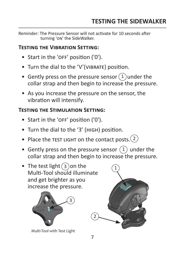Reminder: The Pressure Sensor will not activate for 10 seconds after turning 'on' the SideWalker.

#### **Testing the Vibration Setting:**

- Start in the 'OFF' position ('0').
- Turn the dial to the 'V'(VIBRATE) position.
- Gently press on the pressure sensor  $(1)$  under the collar strap and then begin to increase the pressure.
- As you increase the pressure on the sensor, the vibration will intensify.

### **Testing the Stimulation Setting:**

- Start in the 'OFF' position ('0').
- Turn the dial to the '3' (high) position.
- Place the TEST LIGHT on the contact posts. $(2)$
- Gently press on the pressure sensor  $(1)$  under the collar strap and then begin to increase the pressure.
- The test light  $(3)$  on the Multi-Tool should illuminate and get brighter as you increase the pressure.



Multi-Tool with Test Light



 $\overline{2}$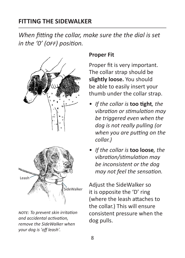## **FITTING THE SIDEWALKER**

*When fitting the collar, make sure the the dial is set in the '0' (off) position.*



*note: To prevent skin irritation and accidental activation, remove the SideWalker when your dog is 'off leash'.*

## **Proper Fit**

Proper fit is very important. The collar strap should be **slightly loose.** You should be able to easily insert your thumb under the collar strap.

- *• If the collar is* **too tight***, the vibration or stimulation may be triggered even when the dog is not really pulling (or when you are putting on the collar.)*
- *• If the collar is* **too loose***, the vibration/stimulation may be inconsistent or the dog may not feel the sensation.*

Adjust the SideWalker so it is opposite the 'D' ring (where the leash attaches to the collar.) This will ensure consistent pressure when the dog pulls.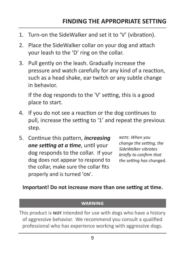- 1. Turn-on the SideWalker and set it to 'V' (vibration).
- 2. Place the SideWalker collar on your dog and attach your leash to the 'D' ring on the collar.
- 3. Pull gently on the leash. Gradually increase the pressure and watch carefully for any kind of a reaction, such as a head shake, ear twitch or any subtle change in behavior.

If the dog responds to the 'V' setting, this is a good place to start.

- 4. If you do not see a reaction or the dog continues to pull, increase the setting to '1' and repeat the previous step.
- 5. Continue this pattern, *increasing one setting at a time*, until your dog responds to the collar. If your dog does not appear to respond to the collar, make sure the collar fits properly and is turned 'on'.

*note: When you change the setting, the SideWalker vibrates briefly to confirm that the setting has* changed.

#### **Important! Do not increase more than one setting at time.**

#### **warning**

This product is **not** intended for use with dogs who have a history of aggressive behavior. We recommend you consult a qualified professional who has experience working with aggressive dogs.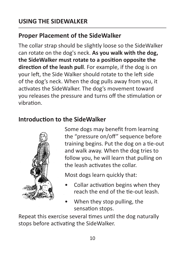# **Proper Placement of the SideWalker**

The collar strap should be slightly loose so the SideWalker can rotate on the dog's neck. **As you walk with the dog, the SideWalker must rotate to a position opposite the direction of the leash pull**. For example, if the dog is on your left, the Side Walker should rotate to the left side of the dog's neck. When the dog pulls away from you, it activates the SideWalker. The dog's movement toward you releases the pressure and turns off the stimulation or vibration.

## **Introduction to the SideWalker**



Some dogs may benefit from learning the "pressure on/off" sequence before training begins. Put the dog on a tie-out and walk away. When the dog tries to follow you, he will learn that pulling on the leash activates the collar.

Most dogs learn quickly that:

- Collar activation begins when they reach the end of the tie-out leash.
- When they stop pulling, the sensation stops.

Repeat this exercise several times until the dog naturally stops before activating the SideWalker.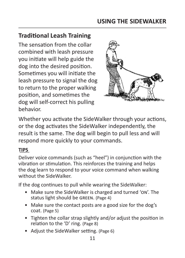## **Traditional Leash Training**

The sensation from the collar combined with leash pressure you initiate will help guide the dog into the desired position. Sometimes you will initiate the leash pressure to signal the dog to return to the proper walking position, and sometimes the dog will self-correct his pulling behavior.



Whether you activate the SideWalker through your actions, or the dog activates the SideWalker independently, the result is the same. The dog will begin to pull less and will respond more quickly to your commands.

#### **TIPS**

Deliver voice commands (such as "heel") in conjunction with the vibration or stimulation. This reinforces the training and helps the dog learn to respond to your voice command when walking without the SideWalker.

If the dog continues to pull while wearing the SideWalker:

- Make sure the SideWalker is charged and turned 'on'. The status light should be green. (Page 4)
- Make sure the contact posts are a good size for the dog's coat. (Page 5)
- Tighten the collar strap slightly and/or adjust the position in relation to the 'D' ring. (Page 8)
- Adjust the SideWalker setting. (Page 6)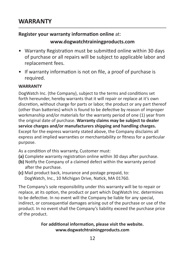## **WARRANTY**

#### **Register your warranty information online** at:

#### **www.dogwatchtrainingproducts.com**

- Warranty Registration must be submitted online within 30 days of purchase or all repairs will be subject to applicable labor and replacement fees.
- If warranty information is not on file, a proof of purchase is required.

#### **WARRANTY**

DogWatch Inc. (the Company), subject to the terms and conditions set forth hereunder, hereby warrants that it will repair or replace at it's own discretion, without charge for parts or labor, the product or any part thereof (other than batteries) which is found to be defective by reason of improper workmanship and/or materials for the warranty period of one (1) year from the original date of purchase. **Warranty claims may be subject to dealer service charges and/or manufacturers shipping and handling charges.** Except for the express warranty stated above, the Company disclaims all express and implied warranties or merchantability or fitness for a particular purpose.

As a condition of this warranty, Customer must:

- **(a)** Complete warranty registration online within 30 days after purchase.
- **(b)** Notify the Company of a claimed defect within the warranty period after the purchase.
- **(c)** Mail product back, insurance and postage prepaid, to: DogWatch, Inc., 10 Michigan Drive, Natick, MA 01760.

The Company's sole responsibility under this warranty will be to repair or replace, at its option, the product or part which DogWatch Inc. determines to be defective. In no event will the Company be liable for any special, indirect, or consequential damages arising out of the purchase or use of the product. In no event shall the Company's liability exceed the purchase price of the product.

#### **For additional information, please visit the website. www.dogwatchtrainingproducts.com**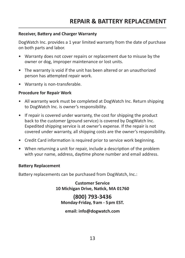#### **Receiver, Battery and Charger Warranty**

DogWatch Inc. provides a 1 year limited warranty from the date of purchase on both parts and labor.

- Warranty does not cover repairs or replacement due to misuse by the owner or dog, improper maintenance or lost units.
- The warranty is void if the unit has been altered or an unauthorized person has attempted repair work.
- Warranty is non-transferable.

#### **Procedure for Repair Work**

- All warranty work must be completed at DogWatch Inc. Return shipping to DogWatch Inc. is owner's responsibility.
- If repair is covered under warranty, the cost for shipping the product back to the customer (ground service) is covered by DogWatch Inc. Expedited shipping service is at owner's expense. If the repair is not covered under warranty, all shipping costs are the owner's responsibility.
- Credit Card information is required prior to service work beginning.
- When returning a unit for repair, include a description of the problem with your name, address, daytime phone number and email address.

#### **Battery Replacement**

Battery replacements can be purchased from DogWatch, Inc.:

**Customer Service 10 Michigan Drive, Natick, MA 01760**

**(800) 793-3436 Monday-Friday, 9am - 5pm EST.**

**email: info@dogwatch.com**